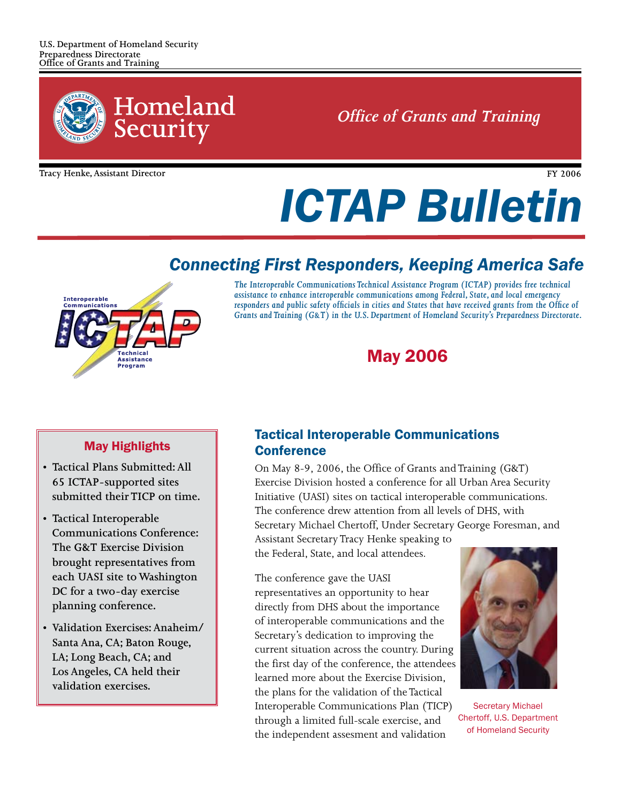

*Office of Grants and Training* 

**Tracy Henke, Assistant Director**

**FY 2006**

# *ICTAP Bulletin*

## *Connecting First Responders, Keeping America Safe*



*The Interoperable Communications Technical Assistance Program (ICTAP) provides free technical assistance to enhance interoperable communications among Federal, State, and local emergency responders and public safety officials in cities and States that have received grants from the Office of Grants and Training (G&T) in the U.S. Department of Homeland Security's Preparedness Directorate.*

# May 2006

#### May Highlights

- **Tactical Plans Submitted: All 65 ICTAP-supported sites submitted their TICP on time.**
- **Tactical Interoperable Communications Conference: The G&T Exercise Division brought representatives from each UASI site to Washington DC for a two-day exercise planning conference.**
- **Validation Exercises: Anaheim/ Santa Ana, CA; Baton Rouge, LA; Long Beach, CA; and Los Angeles, CA held their validation exercises.**

### Tactical Interoperable Communications **Conference**

On May 8-9, 2006, the Office of Grants and Training (G&T) Exercise Division hosted a conference for all Urban Area Security Initiative (UASI) sites on tactical interoperable communications. The conference drew attention from all levels of DHS, with Secretary Michael Chertoff, Under Secretary George Foresman, and

Assistant Secretary Tracy Henke speaking to the Federal, State, and local attendees.

The conference gave the UASI representatives an opportunity to hear directly from DHS about the importance of interoperable communications and the Secretary's dedication to improving the current situation across the country. During the first day of the conference, the attendees learned more about the Exercise Division, the plans for the validation of the Tactical Interoperable Communications Plan (TICP) through a limited full-scale exercise, and the independent assesment and validation



Secretary Michael Chertoff, U.S. Department of Homeland Security